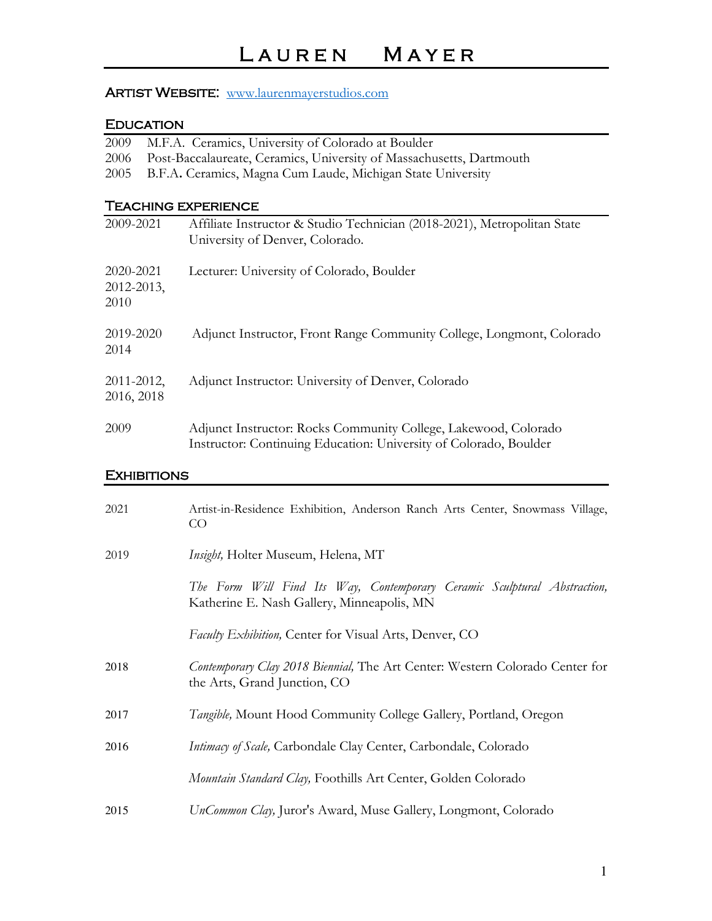## ARTIST WEBSITE: www.laurenmayerstudios.com

## Education

| 2009                            | M.F.A. Ceramics, University of Colorado at Boulder                                                                                   |
|---------------------------------|--------------------------------------------------------------------------------------------------------------------------------------|
| 2006                            | Post-Baccalaureate, Ceramics, University of Massachusetts, Dartmouth                                                                 |
| 2005                            | B.F.A. Ceramics, Magna Cum Laude, Michigan State University                                                                          |
|                                 |                                                                                                                                      |
|                                 | <b>TEACHING EXPERIENCE</b>                                                                                                           |
| 2009-2021                       | Affiliate Instructor & Studio Technician (2018-2021), Metropolitan State<br>University of Denver, Colorado.                          |
| 2020-2021<br>2012-2013,<br>2010 | Lecturer: University of Colorado, Boulder                                                                                            |
| 2019-2020<br>2014               | Adjunct Instructor, Front Range Community College, Longmont, Colorado                                                                |
| 2011-2012,<br>2016, 2018        | Adjunct Instructor: University of Denver, Colorado                                                                                   |
| 2009                            | Adjunct Instructor: Rocks Community College, Lakewood, Colorado<br>Instructor: Continuing Education: University of Colorado, Boulder |
| <b>EXHIBITIONS</b>              |                                                                                                                                      |
| 2021                            | Artist-in-Residence Exhibition, Anderson Ranch Arts Center, Snowmass Village,<br>CO                                                  |
| 2019                            | Insight, Holter Museum, Helena, MT                                                                                                   |
|                                 | The Form Will Find Its Way, Contemporary Ceramic Sculptural Abstraction,<br>Katherine E. Nash Gallery, Minneapolis, MN               |
|                                 | Faculty Exhibition, Center for Visual Arts, Denver, CO                                                                               |

2018 *Contemporary Clay 2018 Biennial,* The Art Center: Western Colorado Center for the Arts, Grand Junction, CO

2017 *Tangible,* Mount Hood Community College Gallery, Portland, Oregon

2016 *Intimacy of Scale,* Carbondale Clay Center, Carbondale, Colorado

 *Mountain Standard Clay,* Foothills Art Center, Golden Colorado

2015 *UnCommon Clay,* Juror's Award, Muse Gallery, Longmont, Colorado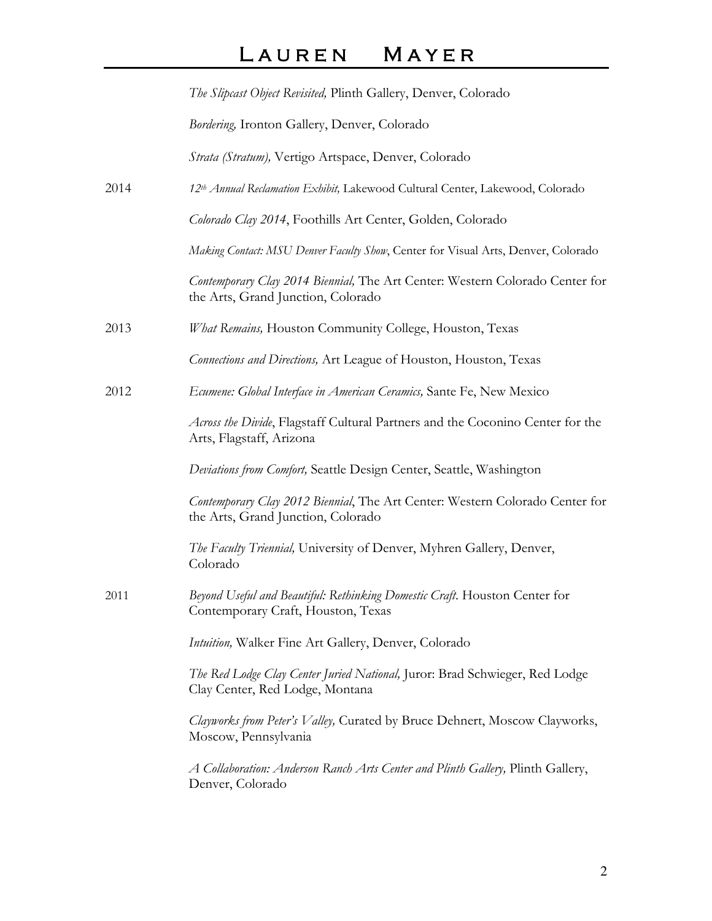# L A U R E N M A Y E R

|      | The Slipcast Object Revisited, Plinth Gallery, Denver, Colorado                                                    |
|------|--------------------------------------------------------------------------------------------------------------------|
|      | Bordering, Ironton Gallery, Denver, Colorado                                                                       |
|      | Strata (Stratum), Vertigo Artspace, Denver, Colorado                                                               |
| 2014 | 12th Annual Reclamation Exhibit, Lakewood Cultural Center, Lakewood, Colorado                                      |
|      | Colorado Clay 2014, Foothills Art Center, Golden, Colorado                                                         |
|      | Making Contact: MSU Denver Faculty Show, Center for Visual Arts, Denver, Colorado                                  |
|      | Contemporary Clay 2014 Biennial, The Art Center: Western Colorado Center for<br>the Arts, Grand Junction, Colorado |
| 2013 | What Remains, Houston Community College, Houston, Texas                                                            |
|      | Connections and Directions, Art League of Houston, Houston, Texas                                                  |
| 2012 | Ecumene: Global Interface in American Ceramics, Sante Fe, New Mexico                                               |
|      | Across the Divide, Flagstaff Cultural Partners and the Coconino Center for the<br>Arts, Flagstaff, Arizona         |
|      | Deviations from Comfort, Seattle Design Center, Seattle, Washington                                                |
|      | Contemporary Clay 2012 Biennial, The Art Center: Western Colorado Center for<br>the Arts, Grand Junction, Colorado |
|      | The Faculty Triennial, University of Denver, Myhren Gallery, Denver,<br>Colorado                                   |
| 2011 | Beyond Useful and Beautiful: Rethinking Domestic Craft. Houston Center for<br>Contemporary Craft, Houston, Texas   |
|      | Intuition, Walker Fine Art Gallery, Denver, Colorado                                                               |
|      | The Red Lodge Clay Center Juried National, Juror: Brad Schwieger, Red Lodge<br>Clay Center, Red Lodge, Montana     |
|      | Clayworks from Peter's Valley, Curated by Bruce Dehnert, Moscow Clayworks,<br>Moscow, Pennsylvania                 |
|      | A Collaboration: Anderson Ranch Arts Center and Plinth Gallery, Plinth Gallery,<br>Denver, Colorado                |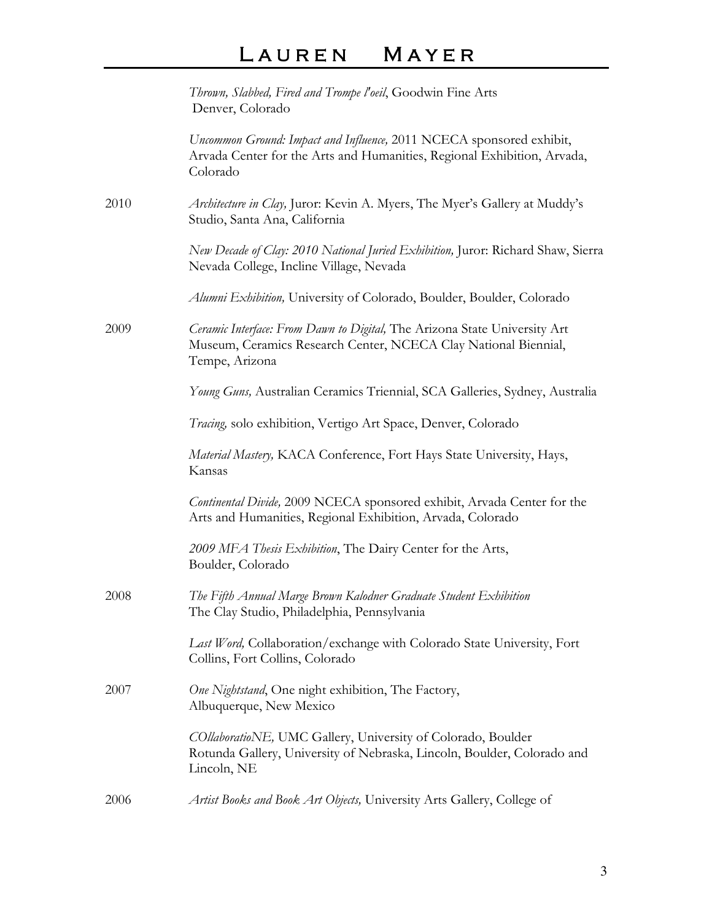# LAUREN MAYER

|      | Thrown, Slabbed, Fired and Trompe l'oeil, Goodwin Fine Arts<br>Denver, Colorado                                                                                |
|------|----------------------------------------------------------------------------------------------------------------------------------------------------------------|
|      | Uncommon Ground: Impact and Influence, 2011 NCECA sponsored exhibit,<br>Arvada Center for the Arts and Humanities, Regional Exhibition, Arvada,<br>Colorado    |
| 2010 | Architecture in Clay, Juror: Kevin A. Myers, The Myer's Gallery at Muddy's<br>Studio, Santa Ana, California                                                    |
|      | New Decade of Clay: 2010 National Juried Exhibition, Juror: Richard Shaw, Sierra<br>Nevada College, Incline Village, Nevada                                    |
|      | Alumni Exhibition, University of Colorado, Boulder, Boulder, Colorado                                                                                          |
| 2009 | Ceramic Interface: From Dawn to Digital, The Arizona State University Art<br>Museum, Ceramics Research Center, NCECA Clay National Biennial,<br>Tempe, Arizona |
|      | Young Guns, Australian Ceramics Triennial, SCA Galleries, Sydney, Australia                                                                                    |
|      | Tracing, solo exhibition, Vertigo Art Space, Denver, Colorado                                                                                                  |
|      | Material Mastery, KACA Conference, Fort Hays State University, Hays,<br>Kansas                                                                                 |
|      | Continental Divide, 2009 NCECA sponsored exhibit, Arvada Center for the<br>Arts and Humanities, Regional Exhibition, Arvada, Colorado                          |
|      | 2009 MFA Thesis Exhibition, The Dairy Center for the Arts,<br>Boulder, Colorado                                                                                |
| 2008 | The Fifth Annual Marge Brown Kalodner Graduate Student Exhibition<br>The Clay Studio, Philadelphia, Pennsylvania                                               |
|      | Last Word, Collaboration/exchange with Colorado State University, Fort<br>Collins, Fort Collins, Colorado                                                      |
| 2007 | One Nightstand, One night exhibition, The Factory,<br>Albuquerque, New Mexico                                                                                  |
|      | COllaboratioNE, UMC Gallery, University of Colorado, Boulder<br>Rotunda Gallery, University of Nebraska, Lincoln, Boulder, Colorado and<br>Lincoln, NE         |
| 2006 | Artist Books and Book Art Objects, University Arts Gallery, College of                                                                                         |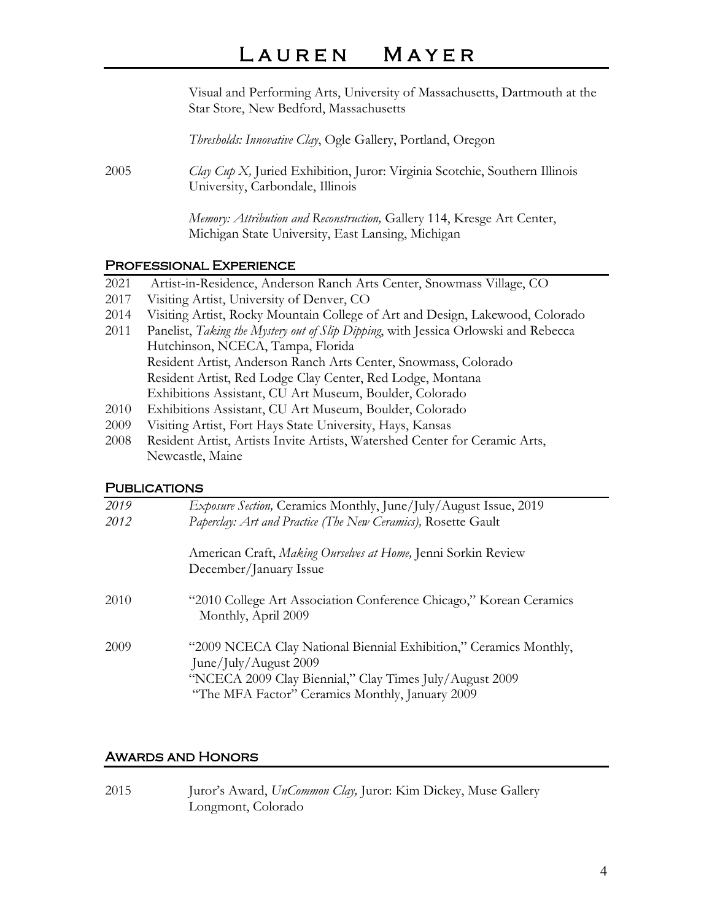## LAUREN MAYER

Visual and Performing Arts, University of Massachusetts, Dartmouth at the Star Store, New Bedford, Massachusetts

*Thresholds: Innovative Clay*, Ogle Gallery, Portland, Oregon

2005 *Clay Cup X,* Juried Exhibition, Juror: Virginia Scotchie, Southern Illinois University, Carbondale, Illinois

> *Memory: Attribution and Reconstruction,* Gallery 114, Kresge Art Center, Michigan State University, East Lansing, Michigan

### Professional Experience

- 2021 Artist-in-Residence, Anderson Ranch Arts Center, Snowmass Village, CO
- 2017 Visiting Artist, University of Denver, CO
- 2014 Visiting Artist, Rocky Mountain College of Art and Design, Lakewood, Colorado
- 2011 Panelist, *Taking the Mystery out of Slip Dipping*, with Jessica Orlowski and Rebecca Hutchinson, NCECA, Tampa, Florida Resident Artist, Anderson Ranch Arts Center, Snowmass, Colorado Resident Artist, Red Lodge Clay Center, Red Lodge, Montana Exhibitions Assistant, CU Art Museum, Boulder, Colorado
- 2010 Exhibitions Assistant, CU Art Museum, Boulder, Colorado
- 2009 Visiting Artist, Fort Hays State University, Hays, Kansas
- 2008 Resident Artist, Artists Invite Artists, Watershed Center for Ceramic Arts, Newcastle, Maine

### **PUBLICATIONS**

| 2019 | Exposure Section, Ceramics Monthly, June/July/August Issue, 2019                                                                                      |
|------|-------------------------------------------------------------------------------------------------------------------------------------------------------|
| 2012 | Paperclay: Art and Practice (The New Ceramics), Rosette Gault                                                                                         |
|      | American Craft, Making Ourselves at Home, Jenni Sorkin Review<br>December/January Issue                                                               |
| 2010 | "2010 College Art Association Conference Chicago," Korean Ceramics<br>Monthly, April 2009                                                             |
| 2009 | "2009 NCECA Clay National Biennial Exhibition," Ceramics Monthly,<br>June/July/August 2009<br>"NCECA 2009 Clay Biennial," Clay Times July/August 2009 |
|      | "The MFA Factor" Ceramics Monthly, January 2009                                                                                                       |

### Awards and Honors

2015 Juror's Award, *UnCommon Clay,* Juror: Kim Dickey, Muse Gallery Longmont, Colorado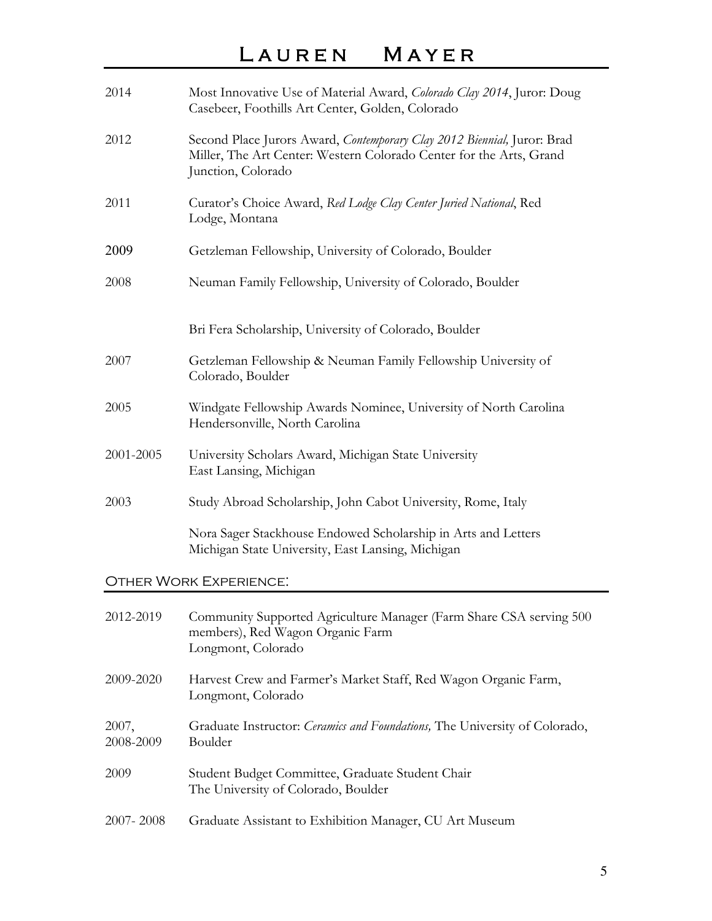# L A U R E N M A Y E R

| 2014               | Most Innovative Use of Material Award, Colorado Clay 2014, Juror: Doug<br>Casebeer, Foothills Art Center, Golden, Colorado                                           |
|--------------------|----------------------------------------------------------------------------------------------------------------------------------------------------------------------|
| 2012               | Second Place Jurors Award, Contemporary Clay 2012 Biennial, Juror: Brad<br>Miller, The Art Center: Western Colorado Center for the Arts, Grand<br>Junction, Colorado |
| 2011               | Curator's Choice Award, Red Lodge Clay Center Juried National, Red<br>Lodge, Montana                                                                                 |
| 2009               | Getzleman Fellowship, University of Colorado, Boulder                                                                                                                |
| 2008               | Neuman Family Fellowship, University of Colorado, Boulder                                                                                                            |
|                    | Bri Fera Scholarship, University of Colorado, Boulder                                                                                                                |
| 2007               | Getzleman Fellowship & Neuman Family Fellowship University of<br>Colorado, Boulder                                                                                   |
| 2005               | Windgate Fellowship Awards Nominee, University of North Carolina<br>Hendersonville, North Carolina                                                                   |
| 2001-2005          | University Scholars Award, Michigan State University<br>East Lansing, Michigan                                                                                       |
| 2003               | Study Abroad Scholarship, John Cabot University, Rome, Italy                                                                                                         |
|                    | Nora Sager Stackhouse Endowed Scholarship in Arts and Letters<br>Michigan State University, East Lansing, Michigan                                                   |
|                    | <b>OTHER WORK EXPERIENCE:</b>                                                                                                                                        |
| 2012-2019          | Community Supported Agriculture Manager (Farm Share CSA serving 500<br>members), Red Wagon Organic Farm<br>Longmont, Colorado                                        |
| 2009-2020          | Harvest Crew and Farmer's Market Staff, Red Wagon Organic Farm,<br>Longmont, Colorado                                                                                |
| 2007,<br>2008-2009 | Graduate Instructor: Ceramics and Foundations, The University of Colorado,<br>Boulder                                                                                |
| 2009               | Student Budget Committee, Graduate Student Chair<br>The University of Colorado, Boulder                                                                              |
| 2007-2008          | Graduate Assistant to Exhibition Manager, CU Art Museum                                                                                                              |